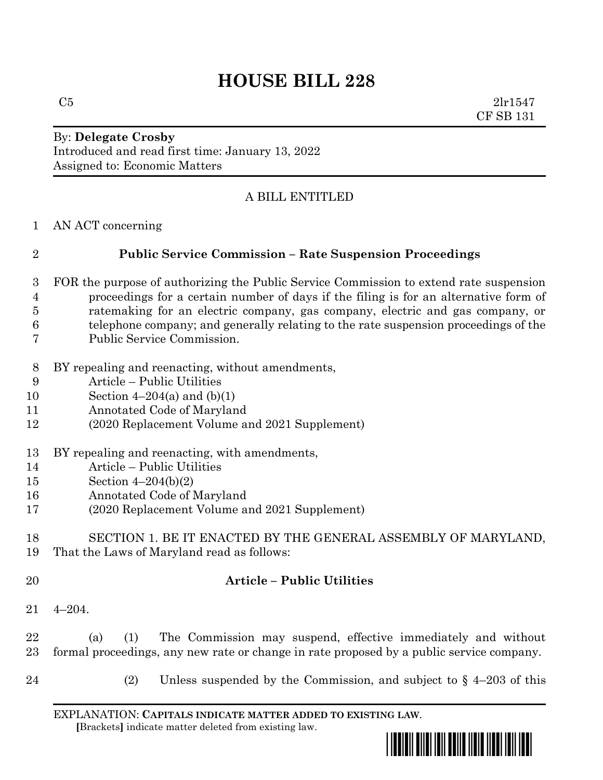# **HOUSE BILL 228**

 $C5$  2lr1547 CF SB 131

### By: **Delegate Crosby** Introduced and read first time: January 13, 2022 Assigned to: Economic Matters

# A BILL ENTITLED

AN ACT concerning

# **Public Service Commission – Rate Suspension Proceedings**

- FOR the purpose of authorizing the Public Service Commission to extend rate suspension proceedings for a certain number of days if the filing is for an alternative form of ratemaking for an electric company, gas company, electric and gas company, or telephone company; and generally relating to the rate suspension proceedings of the Public Service Commission.
- BY repealing and reenacting, without amendments,
- Article Public Utilities
- Section 4–204(a) and (b)(1)
- Annotated Code of Maryland
- (2020 Replacement Volume and 2021 Supplement)
- BY repealing and reenacting, with amendments,
- Article Public Utilities
- Section 4–204(b)(2)
- Annotated Code of Maryland
- (2020 Replacement Volume and 2021 Supplement)

#### SECTION 1. BE IT ENACTED BY THE GENERAL ASSEMBLY OF MARYLAND, That the Laws of Maryland read as follows:

#### **Article – Public Utilities**

4–204.

 (a) (1) The Commission may suspend, effective immediately and without formal proceedings, any new rate or change in rate proposed by a public service company.

- 
- (2) Unless suspended by the Commission, and subject to § 4–203 of this

EXPLANATION: **CAPITALS INDICATE MATTER ADDED TO EXISTING LAW**.  **[**Brackets**]** indicate matter deleted from existing law.